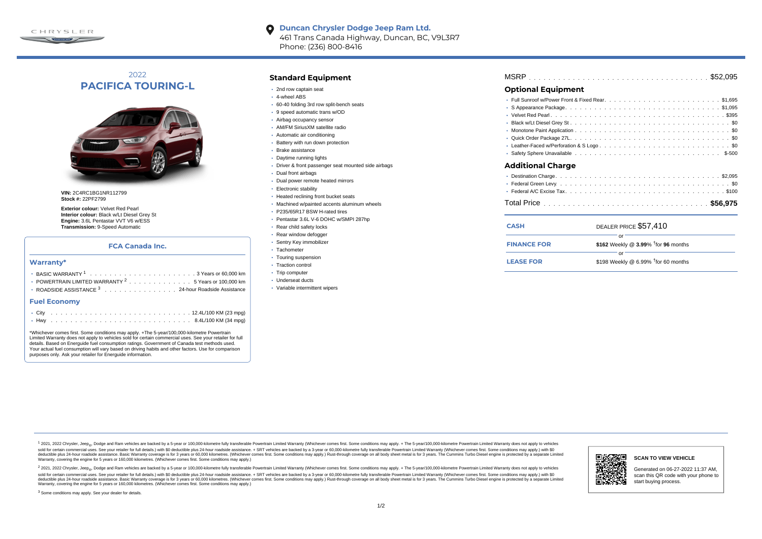

#### **Duncan Chrysler Dodge Jeep Ram Ltd.**  $\bullet$ 461 Trans Canada Highway, Duncan, BC, V9L3R7 Phone: (236) 800-8416

# 2022 **PACIFICA TOURING-L**



**VIN:** 2C4RC1BG1NR112799 **Stock #:** 22PF2799

**Exterior colour:** Velvet Red Pearl **Interior colour:** Black w/Lt Diesel Grey St **Engine:** 3.6L Pentastar VVT V6 w/ESS **Transmission:** 9-Speed Automatic

## **FCA Canada Inc.**

#### **Warranty\***

| • POWERTRAIN LIMITED WARRANTY <sup>2</sup> 5 Years or 100,000 km |
|------------------------------------------------------------------|
| • ROADSIDE ASSISTANCE 3 24-hour Roadside Assistance              |

#### **Fuel Economy**

\*Whichever comes first. Some conditions may apply. +The 5-year/100,000-kilometre Powertrain Limited Warranty does not apply to vehicles sold for certain commercial uses. See your retailer for full details. Based on Energuide fuel consumption ratings. Government of Canada test methods used. Your actual fuel consumption will vary based on driving habits and other factors. Use for comparison purposes only. Ask your retailer for Energuide information.

## **Standard Equipment**

- 2nd row captain seat
- 4-wheel ABS
- 60-40 folding 3rd row split-bench seats
- 9 speed automatic trans w/OD
- Airbag occupancy sensor
- AM/FM SiriusXM satellite radio
- Automatic air conditioning
- Battery with run down protection
- Brake assistance
- Daytime running lights
- Driver & front passenger seat mounted side airbags
- Dual front airbags
- Dual power remote heated mirrors
- Electronic stability
- Heated reclining front bucket seats
- Machined w/painted accents aluminum wheels
- P235/65R17 BSW H-rated tires
- Pentastar 3.6L V-6 DOHC w/SMPI 287hp
- Rear child safety locks
- Rear window defogger
- Sentry Key immobilizer
- · Tachometer
- Touring suspension
- Traction control
- Trip computer
- Underseat ducts
- Variable intermittent wipers

| MSRP |  |  |  |  |  |  |  |  |
|------|--|--|--|--|--|--|--|--|
| $ -$ |  |  |  |  |  |  |  |  |

## **Optional Equipment**

| Additional Charge |
|-------------------|
|                   |
|                   |
|                   |

## . . . . . . . . . . . . . . . . . . . . . . . . . . . . . . . . . . . . . . . . . . . . . . Total Price **\$56,975**

| <b>CASH</b>        | DEALER PRICE \$57.410                              |
|--------------------|----------------------------------------------------|
| <b>FINANCE FOR</b> | \$162 Weekly @ $3.99\%$ <sup>†</sup> for 96 months |
| <b>LEASE FOR</b>   | \$198 Weekly @ 6.99% $†$ for 60 months             |

1 2021, 2022 Chrysler, Jeep.... Dodge and Ram vehicles are backed by a 5-year or 100,000-kilometre fully transferable Powertrain Limited Warranty (Whichever comes first. Some conditions may apply. + The 5-year/100,000-kilo sold for certain commercial uses. See your retailer for full details) with \$0 deductible plus 24-hour madside assistance. + SRT vehicles are backed by a 3-year or 60.000-kilometre fully transferable Powertrain Limited Warr detuctible plus 24-hour roadside assistance. Basic Warranty coverage is for 3 years or 60,000 kilometres. Whichever comes first. Some conditions may apply.) Rust-through coverage on all body sheet metals for 3 years. The C Warranty, covering the engine for 5 years or 160,000 kilometres. (Whichever comes first. Some conditions may apply.)

<sup>2</sup> 2021, 2022 Chrysler, Jeep<sub>®</sub>, Dodge and Ram vehicles are backed by a 5-year or 100,000-kilometre fully transferable Powertrain Limited Warranty (Whichever comes first. Some conditions may apply. + The 5-year/100,000-ki sold for certain commercial uses. See your retailer for full details.) with \$0 deductible plus 24-hour roadside assistance. + SRT vehicles are backed by a 3-year or 60.000-kilometre fully transferable Powertrain Limited Wa deductible plus 24-hour roadside assistance. Basic Warranty coverage is for 3 years or 60,000 kilometres. (Whichever comes first. Some conditions may apply.) Rust-through coverage on all body sheet metal is for 3 years. Th



#### **SCAN TO VIEW VEHICLE**

Generated on 06-27-2022 11:37 AM, scan this QR code with your phone to start buying process.

<sup>3</sup> Some conditions may apply. See your dealer for details.